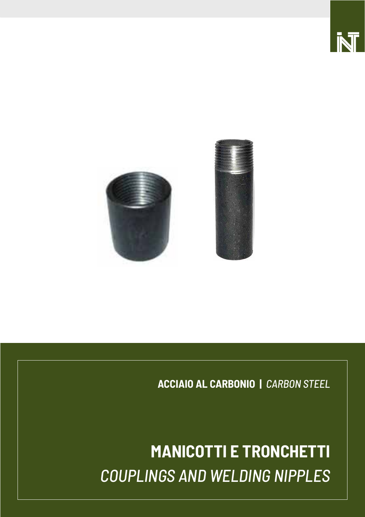

 $\overline{\phantom{0}}$ 



**ACCIAIO AL CARBONIO |** *CARBON STEEL*

# **MANICOTTI E TRONCHETTI** *COUPLINGS AND WELDING NIPPLES*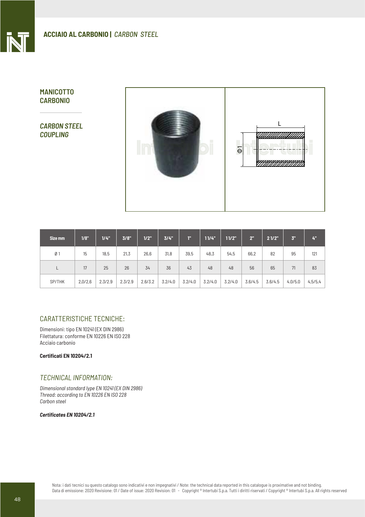# **MANICOTTO CARBONIO**

*CARBON STEEL COUPLING*



| Size mm        | 1/8"    | $1/4$ " | 3/8"    | 1/2"    | 3/4"    | T"      | 11/4"   | 11/2"   | 2"      | 21/2"   | 3.      | 4"      |
|----------------|---------|---------|---------|---------|---------|---------|---------|---------|---------|---------|---------|---------|
| Ø <sub>1</sub> | 15      | 18,5    | 21,3    | 26,6    | 31,8    | 39,5    | 48,3    | 54,5    | 66,2    | 82      | 95      | 121     |
|                | 17      | 25      | 26      | 34      | 36      | 43      | 48      | 48      | 56      | 65      | 71      | 83      |
| SP/THK         | 2,0/2,6 | 2.3/2.9 | 2.3/2.9 | 2.6/3.2 | 3.2/4.0 | 3.2/4.0 | 3.2/4.0 | 3.2/4.0 | 3.6/4.5 | 3.6/4.5 | 4.0/5.0 | 4,5/5,4 |

# CARATTERISTICHE TECNICHE:

Dimensioni: tipo EN 10241 (EX DIN 2986) Filettatura: conforme EN 10226 EN ISO 228 Acciaio carbonio

**Certificati EN 10204/2.1**

#### *TECHNICAL INFORMATION:*

*Dimensional standard Iype EN 10241 (EX DIN 2986) Thread: according to EN 10226 EN ISO 228 Carbon steel*

#### *Certificates EN 10204/2.1*

Nota: i dati tecnici su questo catalogo sono indicativi e non impegnativi / Note: the technical data reported in this catalogue is proximative and not binding. Data di emissione: 2020 Revisione: 01 / Date of issue: 2020 Revision: 01 - Copyright ® Intertubi S.p.a. Tutti i diritti riservati / Copyright ® Intertubi S.p.a. All rights reserved